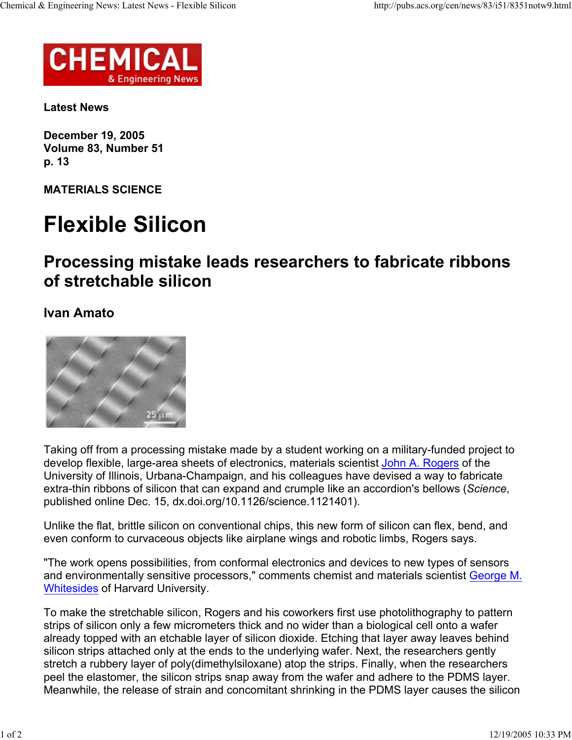

**Latest News**

**December 19, 2005 Volume 83, Number 51 p. 13**

**MATERIALS SCIENCE**

## **Flexible Silicon**

## **Processing mistake leads researchers to fabricate ribbons of stretchable silicon**

**Ivan Amato**



Taking off from a processing mistake made by a student working on a military-funded project to develop flexible, large-area sheets of electronics, materials scientist John A. Rogers of the University of Illinois, Urbana-Champaign, and his colleagues have devised a way to fabricate extra-thin ribbons of silicon that can expand and crumple like an accordion's bellows (*Science*, published online Dec. 15, dx.doi.org/10.1126/science.1121401).

Unlike the flat, brittle silicon on conventional chips, this new form of silicon can flex, bend, and even conform to curvaceous objects like airplane wings and robotic limbs, Rogers says.

"The work opens possibilities, from conformal electronics and devices to new types of sensors and environmentally sensitive processors," comments chemist and materials scientist George M. Whitesides of Harvard University.

To make the stretchable silicon, Rogers and his coworkers first use photolithography to pattern strips of silicon only a few micrometers thick and no wider than a biological cell onto a wafer already topped with an etchable layer of silicon dioxide. Etching that layer away leaves behind silicon strips attached only at the ends to the underlying wafer. Next, the researchers gently stretch a rubbery layer of poly(dimethylsiloxane) atop the strips. Finally, when the researchers peel the elastomer, the silicon strips snap away from the wafer and adhere to the PDMS layer. Meanwhile, the release of strain and concomitant shrinking in the PDMS layer causes the silicon